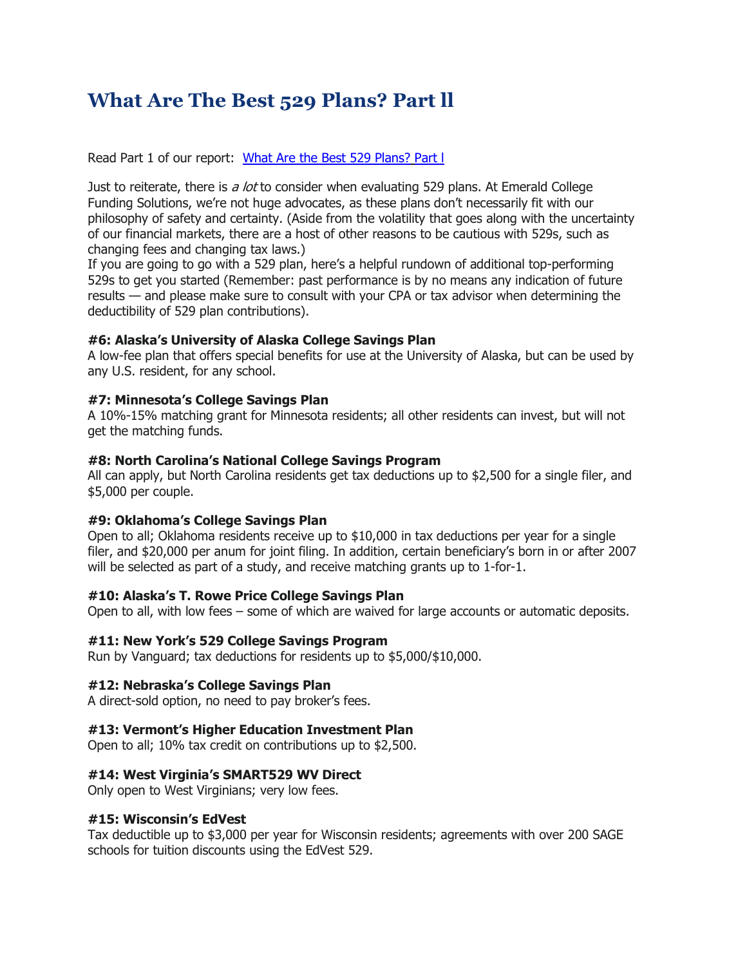# **What Are The Best 529 Plans? Part ll**

Read Part 1 of our report: [What Are the Best 529 Plans?](http://sitebuilder.myregisteredsite.com/sitebuilder/pageid:id78) Part l

Just to reiterate, there is a lot to consider when evaluating 529 plans. At Emerald College Funding Solutions, we're not huge advocates, as these plans don't necessarily fit with our philosophy of safety and certainty. (Aside from the volatility that goes along with the uncertainty of our financial markets, there are a host of other reasons to be cautious with 529s, such as changing fees and changing tax laws.)

If you are going to go with a 529 plan, here's a helpful rundown of additional top-performing 529s to get you started (Remember: past performance is by no means any indication of future results — and please make sure to consult with your CPA or tax advisor when determining the deductibility of 529 plan contributions).

# **#6: Alaska's University of Alaska College Savings Plan**

A low-fee plan that offers special benefits for use at the University of Alaska, but can be used by any U.S. resident, for any school.

#### **#7: Minnesota's College Savings Plan**

A 10%-15% matching grant for Minnesota residents; all other residents can invest, but will not get the matching funds.

# **#8: North Carolina's National College Savings Program**

All can apply, but North Carolina residents get tax deductions up to \$2,500 for a single filer, and \$5,000 per couple.

#### **#9: Oklahoma's College Savings Plan**

Open to all; Oklahoma residents receive up to \$10,000 in tax deductions per year for a single filer, and \$20,000 per anum for joint filing. In addition, certain beneficiary's born in or after 2007 will be selected as part of a study, and receive matching grants up to 1-for-1.

#### **#10: Alaska's T. Rowe Price College Savings Plan**

Open to all, with low fees – some of which are waived for large accounts or automatic deposits.

#### **#11: New York's 529 College Savings Program**

Run by Vanguard; tax deductions for residents up to \$5,000/\$10,000.

#### **#12: Nebraska's College Savings Plan**

A direct-sold option, no need to pay broker's fees.

#### **#13: Vermont's Higher Education Investment Plan**

Open to all; 10% tax credit on contributions up to \$2,500.

#### **#14: West Virginia's SMART529 WV Direct**

Only open to West Virginians; very low fees.

#### **#15: Wisconsin's EdVest**

Tax deductible up to \$3,000 per year for Wisconsin residents; agreements with over 200 SAGE schools for tuition discounts using the EdVest 529.